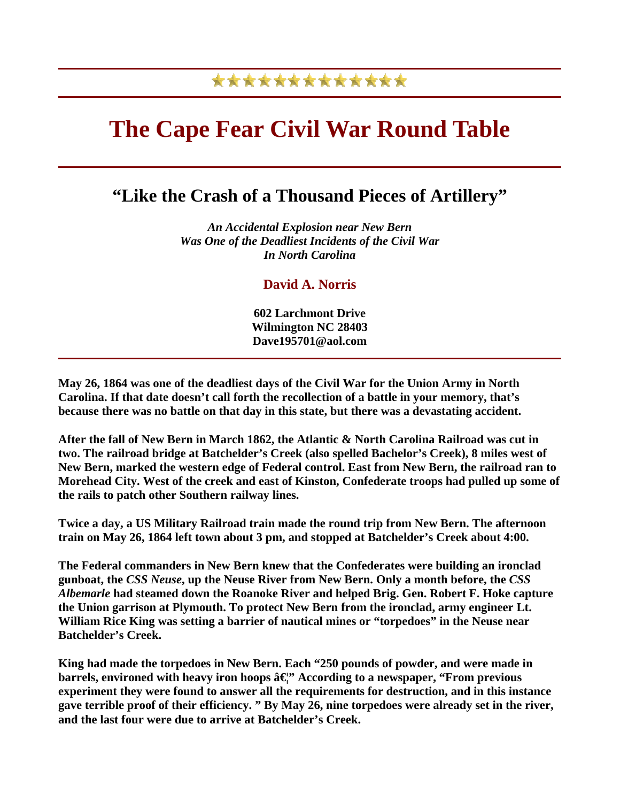## \*\*\*\*\*\*\*\*\*\*\*\*\*

## **The Cape Fear Civil War Round Table**

## **"Like the Crash of a Thousand Pieces of Artillery"**

*An Accidental Explosion near New Bern Was One of the Deadliest Incidents of the Civil War In North Carolina*

## **David A. Norris**

**602 Larchmont Drive Wilmington NC 28403 Dave195701@aol.com** 

**May 26, 1864 was one of the deadliest days of the Civil War for the Union Army in North Carolina. If that date doesn't call forth the recollection of a battle in your memory, that's because there was no battle on that day in this state, but there was a devastating accident.** 

**After the fall of New Bern in March 1862, the Atlantic & North Carolina Railroad was cut in two. The railroad bridge at Batchelder's Creek (also spelled Bachelor's Creek), 8 miles west of New Bern, marked the western edge of Federal control. East from New Bern, the railroad ran to Morehead City. West of the creek and east of Kinston, Confederate troops had pulled up some of the rails to patch other Southern railway lines.** 

**Twice a day, a US Military Railroad train made the round trip from New Bern. The afternoon train on May 26, 1864 left town about 3 pm, and stopped at Batchelder's Creek about 4:00.** 

**The Federal commanders in New Bern knew that the Confederates were building an ironclad gunboat, the** *CSS Neuse***, up the Neuse River from New Bern. Only a month before, the** *CSS Albemarle* **had steamed down the Roanoke River and helped Brig. Gen. Robert F. Hoke capture the Union garrison at Plymouth. To protect New Bern from the ironclad, army engineer Lt. William Rice King was setting a barrier of nautical mines or "torpedoes" in the Neuse near Batchelder's Creek.** 

**King had made the torpedoes in New Bern. Each "250 pounds of powder, and were made in barrels, environed with heavy iron hoops â**  $\mathbb{C}^n$  **According to a newspaper, "From previous experiment they were found to answer all the requirements for destruction, and in this instance gave terrible proof of their efficiency. " By May 26, nine torpedoes were already set in the river, and the last four were due to arrive at Batchelder's Creek.**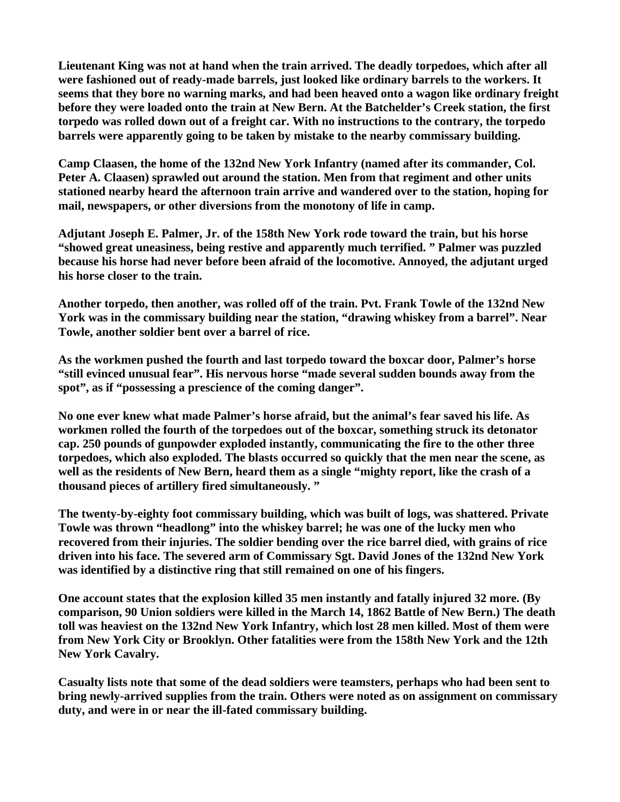**Lieutenant King was not at hand when the train arrived. The deadly torpedoes, which after all were fashioned out of ready-made barrels, just looked like ordinary barrels to the workers. It seems that they bore no warning marks, and had been heaved onto a wagon like ordinary freight before they were loaded onto the train at New Bern. At the Batchelder's Creek station, the first torpedo was rolled down out of a freight car. With no instructions to the contrary, the torpedo barrels were apparently going to be taken by mistake to the nearby commissary building.** 

**Camp Claasen, the home of the 132nd New York Infantry (named after its commander, Col. Peter A. Claasen) sprawled out around the station. Men from that regiment and other units stationed nearby heard the afternoon train arrive and wandered over to the station, hoping for mail, newspapers, or other diversions from the monotony of life in camp.** 

**Adjutant Joseph E. Palmer, Jr. of the 158th New York rode toward the train, but his horse "showed great uneasiness, being restive and apparently much terrified. " Palmer was puzzled because his horse had never before been afraid of the locomotive. Annoyed, the adjutant urged his horse closer to the train.** 

**Another torpedo, then another, was rolled off of the train. Pvt. Frank Towle of the 132nd New York was in the commissary building near the station, "drawing whiskey from a barrel". Near Towle, another soldier bent over a barrel of rice.** 

**As the workmen pushed the fourth and last torpedo toward the boxcar door, Palmer's horse "still evinced unusual fear". His nervous horse "made several sudden bounds away from the spot", as if "possessing a prescience of the coming danger".** 

**No one ever knew what made Palmer's horse afraid, but the animal's fear saved his life. As workmen rolled the fourth of the torpedoes out of the boxcar, something struck its detonator cap. 250 pounds of gunpowder exploded instantly, communicating the fire to the other three torpedoes, which also exploded. The blasts occurred so quickly that the men near the scene, as well as the residents of New Bern, heard them as a single "mighty report, like the crash of a thousand pieces of artillery fired simultaneously. "** 

**The twenty-by-eighty foot commissary building, which was built of logs, was shattered. Private Towle was thrown "headlong" into the whiskey barrel; he was one of the lucky men who recovered from their injuries. The soldier bending over the rice barrel died, with grains of rice driven into his face. The severed arm of Commissary Sgt. David Jones of the 132nd New York was identified by a distinctive ring that still remained on one of his fingers.** 

**One account states that the explosion killed 35 men instantly and fatally injured 32 more. (By comparison, 90 Union soldiers were killed in the March 14, 1862 Battle of New Bern.) The death toll was heaviest on the 132nd New York Infantry, which lost 28 men killed. Most of them were from New York City or Brooklyn. Other fatalities were from the 158th New York and the 12th New York Cavalry.** 

**Casualty lists note that some of the dead soldiers were teamsters, perhaps who had been sent to bring newly-arrived supplies from the train. Others were noted as on assignment on commissary duty, and were in or near the ill-fated commissary building.**